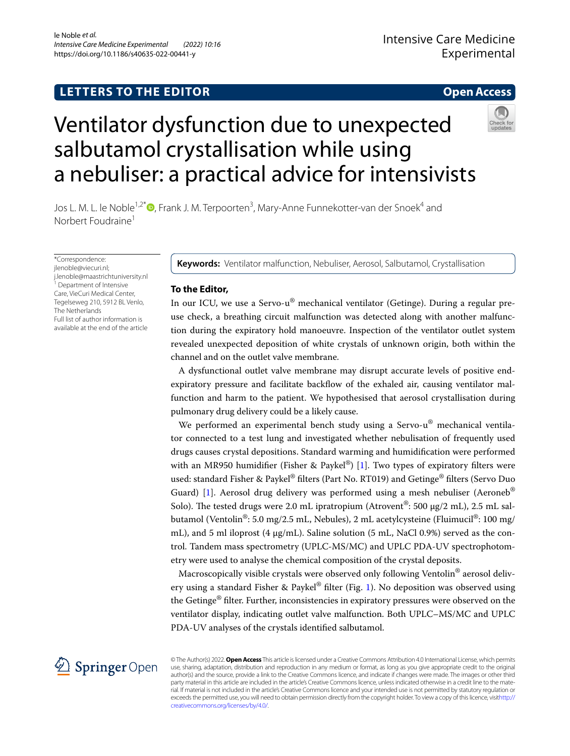## **LETTERS TO THE EDITOR**

**Open Access**

# Ventilator dysfunction due to unexpected salbutamol crystallisation while using a nebuliser: a practical advice for intensivists



Jos L. M. L. le Noble<sup>1,2\*</sup>®[,](http://orcid.org/0000-0001-7927-6314) Frank J. M. Terpoorten<sup>3</sup>, Mary-Anne Funnekotter-van der Snoek<sup>4</sup> and Norbert Foudraine<sup>1</sup>

\*Correspondence: jlenoble@viecuri.nl; j.lenoble@maastrichtuniversity.nl <sup>1</sup> Department of Intensive Care, VieCuri Medical Center, Tegelseweg 210, 5912 BL Venlo, The Netherlands Full list of author information is available at the end of the article

**Keywords:** Ventilator malfunction, Nebuliser, Aerosol, Salbutamol, Crystallisation

## **To the Editor,**

In our ICU, we use a Servo-u® mechanical ventilator (Getinge). During a regular preuse check, a breathing circuit malfunction was detected along with another malfunction during the expiratory hold manoeuvre. Inspection of the ventilator outlet system revealed unexpected deposition of white crystals of unknown origin, both within the channel and on the outlet valve membrane.

A dysfunctional outlet valve membrane may disrupt accurate levels of positive endexpiratory pressure and facilitate backfow of the exhaled air, causing ventilator malfunction and harm to the patient. We hypothesised that aerosol crystallisation during pulmonary drug delivery could be a likely cause.

We performed an experimental bench study using a Servo-u<sup>®</sup> mechanical ventilator connected to a test lung and investigated whether nebulisation of frequently used drugs causes crystal depositions. Standard warming and humidifcation were performed with an MR950 humidifier (Fisher & Paykel®) [\[1](#page-2-0)]. Two types of expiratory filters were used: standard Fisher & Paykel® flters (Part No. RT019) and Getinge® flters (Servo Duo Guard) [\[1](#page-2-0)]. Aerosol drug delivery was performed using a mesh nebuliser (Aeroneb<sup>®</sup> Solo). The tested drugs were 2.0 mL ipratropium (Atrovent<sup>®</sup>: 500  $\mu$ g/2 mL), 2.5 mL salbutamol (Ventolin<sup>®</sup>: 5.0 mg/2.5 mL, Nebules), 2 mL acetylcysteine (Fluimucil<sup>®</sup>: 100 mg/ mL), and 5 ml iloprost (4  $\mu$ g/mL). Saline solution (5 mL, NaCl 0.9%) served as the control. Tandem mass spectrometry (UPLC-MS/MC) and UPLC PDA-UV spectrophotometry were used to analyse the chemical composition of the crystal deposits.

Macroscopically visible crystals were observed only following Ventolin<sup>®</sup> aerosol deliv-ery using a standard Fisher & Paykel<sup>®</sup> filter (Fig. [1](#page-1-0)). No deposition was observed using the Getinge® flter. Further, inconsistencies in expiratory pressures were observed on the ventilator display, indicating outlet valve malfunction. Both UPLC–MS/MC and UPLC PDA-UV analyses of the crystals identifed salbutamol.



© The Author(s) 2022. **Open Access** This article is licensed under a Creative Commons Attribution 4.0 International License, which permits use, sharing, adaptation, distribution and reproduction in any medium or format, as long as you give appropriate credit to the original author(s) and the source, provide a link to the Creative Commons licence, and indicate if changes were made. The images or other third party material in this article are included in the article's Creative Commons licence, unless indicated otherwise in a credit line to the material. If material is not included in the article's Creative Commons licence and your intended use is not permitted by statutory regulation or exceeds the permitted use, you will need to obtain permission directly from the copyright holder. To view a copy of this licence, visit[http://](http://creativecommons.org/licenses/by/4.0/) [creativecommons.org/licenses/by/4.0/.](http://creativecommons.org/licenses/by/4.0/)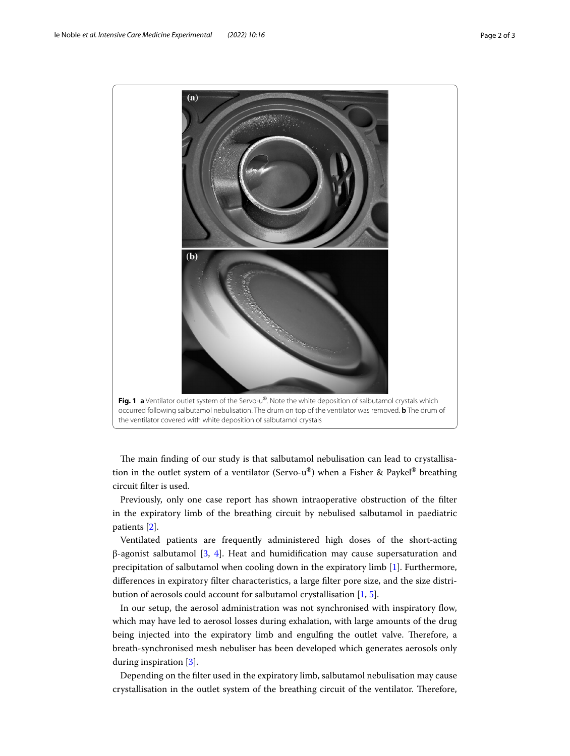

<span id="page-1-0"></span>The main finding of our study is that salbutamol nebulisation can lead to crystallisation in the outlet system of a ventilator (Servo-u®) when a Fisher & Paykel® breathing circuit flter is used.

Previously, only one case report has shown intraoperative obstruction of the flter in the expiratory limb of the breathing circuit by nebulised salbutamol in paediatric patients [[2\]](#page-2-1).

Ventilated patients are frequently administered high doses of the short-acting β-agonist salbutamol [[3](#page-2-2), [4\]](#page-2-3). Heat and humidifcation may cause supersaturation and precipitation of salbutamol when cooling down in the expiratory limb [[1\]](#page-2-0). Furthermore, diferences in expiratory flter characteristics, a large flter pore size, and the size distribution of aerosols could account for salbutamol crystallisation [\[1](#page-2-0), [5\]](#page-2-4).

In our setup, the aerosol administration was not synchronised with inspiratory fow, which may have led to aerosol losses during exhalation, with large amounts of the drug being injected into the expiratory limb and engulfing the outlet valve. Therefore, a breath-synchronised mesh nebuliser has been developed which generates aerosols only during inspiration [\[3\]](#page-2-2).

Depending on the flter used in the expiratory limb, salbutamol nebulisation may cause crystallisation in the outlet system of the breathing circuit of the ventilator. Therefore,